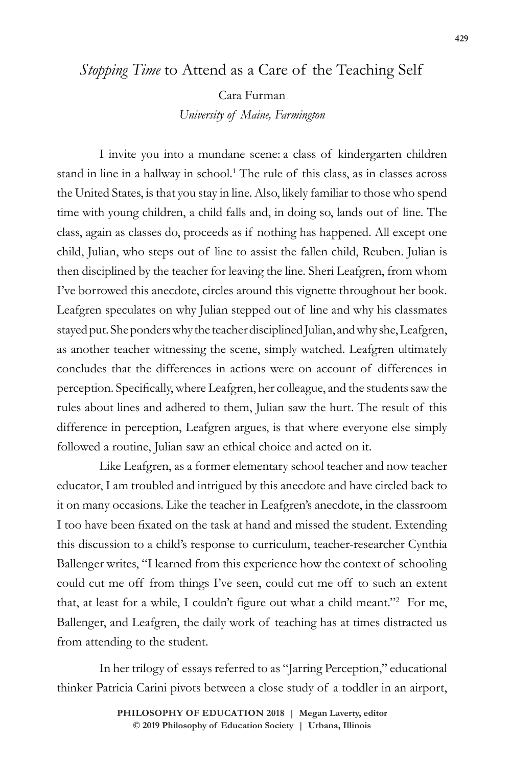# *Stopping Time* to Attend as a Care of the Teaching Self

Cara Furman *University of Maine, Farmington*

I invite you into a mundane scene: a class of kindergarten children stand in line in a hallway in school.<sup>1</sup> The rule of this class, as in classes across the United States, is that you stay in line. Also, likely familiar to those who spend time with young children, a child falls and, in doing so, lands out of line. The class, again as classes do, proceeds as if nothing has happened. All except one child, Julian, who steps out of line to assist the fallen child, Reuben. Julian is then disciplined by the teacher for leaving the line. Sheri Leafgren, from whom I've borrowed this anecdote, circles around this vignette throughout her book. Leafgren speculates on why Julian stepped out of line and why his classmates stayed put. She ponders why the teacher disciplined Julian, and why she, Leafgren, as another teacher witnessing the scene, simply watched. Leafgren ultimately concludes that the differences in actions were on account of differences in perception. Specifically, where Leafgren, her colleague, and the students saw the rules about lines and adhered to them, Julian saw the hurt. The result of this difference in perception, Leafgren argues, is that where everyone else simply followed a routine, Julian saw an ethical choice and acted on it.

Like Leafgren, as a former elementary school teacher and now teacher educator, I am troubled and intrigued by this anecdote and have circled back to it on many occasions. Like the teacher in Leafgren's anecdote, in the classroom I too have been fixated on the task at hand and missed the student. Extending this discussion to a child's response to curriculum, teacher-researcher Cynthia Ballenger writes, "I learned from this experience how the context of schooling could cut me off from things I've seen, could cut me off to such an extent that, at least for a while, I couldn't figure out what a child meant."<sup>2</sup> For me, Ballenger, and Leafgren, the daily work of teaching has at times distracted us from attending to the student.

In her trilogy of essays referred to as "Jarring Perception," educational thinker Patricia Carini pivots between a close study of a toddler in an airport,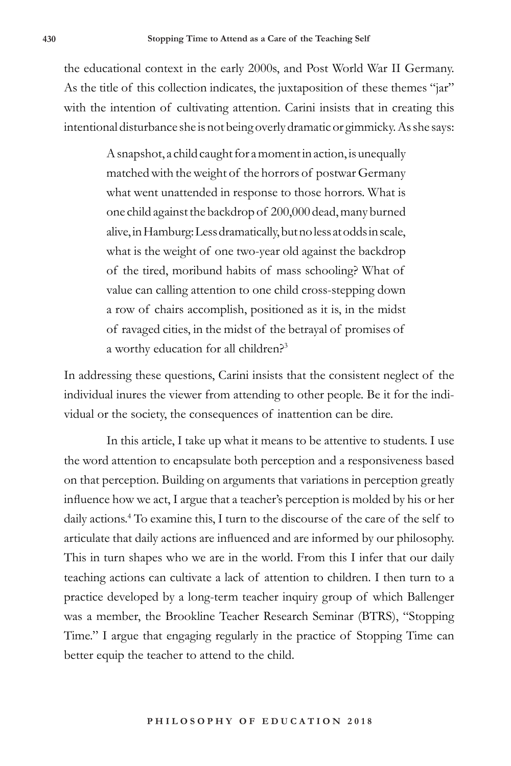the educational context in the early 2000s, and Post World War II Germany. As the title of this collection indicates, the juxtaposition of these themes "jar" with the intention of cultivating attention. Carini insists that in creating this intentional disturbance she is not being overly dramatic or gimmicky. As she says:

> A snapshot, a child caught for a moment in action, is unequally matched with the weight of the horrors of postwar Germany what went unattended in response to those horrors. What is one child against the backdrop of 200,000 dead, many burned alive, in Hamburg: Less dramatically, but no less at odds in scale, what is the weight of one two-year old against the backdrop of the tired, moribund habits of mass schooling? What of value can calling attention to one child cross-stepping down a row of chairs accomplish, positioned as it is, in the midst of ravaged cities, in the midst of the betrayal of promises of a worthy education for all children?3

In addressing these questions, Carini insists that the consistent neglect of the individual inures the viewer from attending to other people. Be it for the individual or the society, the consequences of inattention can be dire.

In this article, I take up what it means to be attentive to students. I use the word attention to encapsulate both perception and a responsiveness based on that perception. Building on arguments that variations in perception greatly influence how we act, I argue that a teacher's perception is molded by his or her daily actions.4 To examine this, I turn to the discourse of the care of the self to articulate that daily actions are influenced and are informed by our philosophy. This in turn shapes who we are in the world. From this I infer that our daily teaching actions can cultivate a lack of attention to children. I then turn to a practice developed by a long-term teacher inquiry group of which Ballenger was a member, the Brookline Teacher Research Seminar (BTRS), "Stopping Time." I argue that engaging regularly in the practice of Stopping Time can better equip the teacher to attend to the child.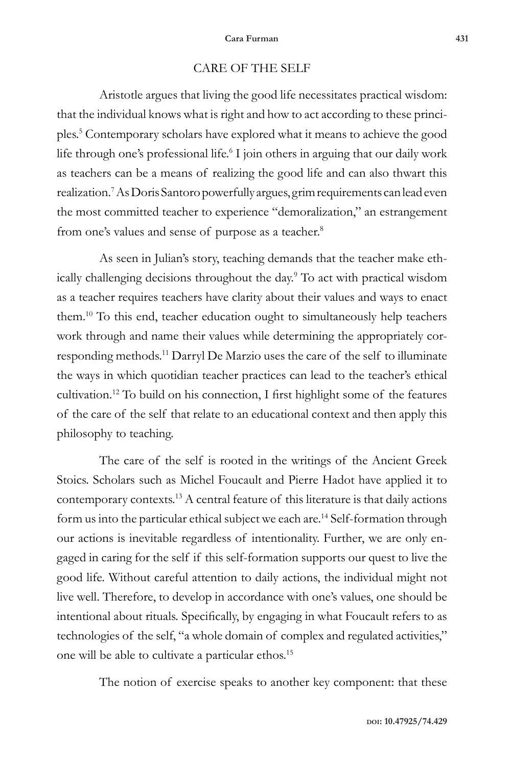## CARE OF THE SELF

Aristotle argues that living the good life necessitates practical wisdom: that the individual knows what is right and how to act according to these principles.5 Contemporary scholars have explored what it means to achieve the good life through one's professional life.<sup>6</sup> I join others in arguing that our daily work as teachers can be a means of realizing the good life and can also thwart this realization.7 As Doris Santoro powerfully argues, grim requirements can lead even the most committed teacher to experience "demoralization," an estrangement from one's values and sense of purpose as a teacher.<sup>8</sup>

As seen in Julian's story, teaching demands that the teacher make ethically challenging decisions throughout the day.9 To act with practical wisdom as a teacher requires teachers have clarity about their values and ways to enact them.10 To this end, teacher education ought to simultaneously help teachers work through and name their values while determining the appropriately corresponding methods.11 Darryl De Marzio uses the care of the self to illuminate the ways in which quotidian teacher practices can lead to the teacher's ethical cultivation.12 To build on his connection, I first highlight some of the features of the care of the self that relate to an educational context and then apply this philosophy to teaching.

The care of the self is rooted in the writings of the Ancient Greek Stoics. Scholars such as Michel Foucault and Pierre Hadot have applied it to contemporary contexts.13 A central feature of this literature is that daily actions form us into the particular ethical subject we each are.14 Self-formation through our actions is inevitable regardless of intentionality. Further, we are only engaged in caring for the self if this self-formation supports our quest to live the good life. Without careful attention to daily actions, the individual might not live well. Therefore, to develop in accordance with one's values, one should be intentional about rituals. Specifically, by engaging in what Foucault refers to as technologies of the self, "a whole domain of complex and regulated activities," one will be able to cultivate a particular ethos.15

The notion of exercise speaks to another key component: that these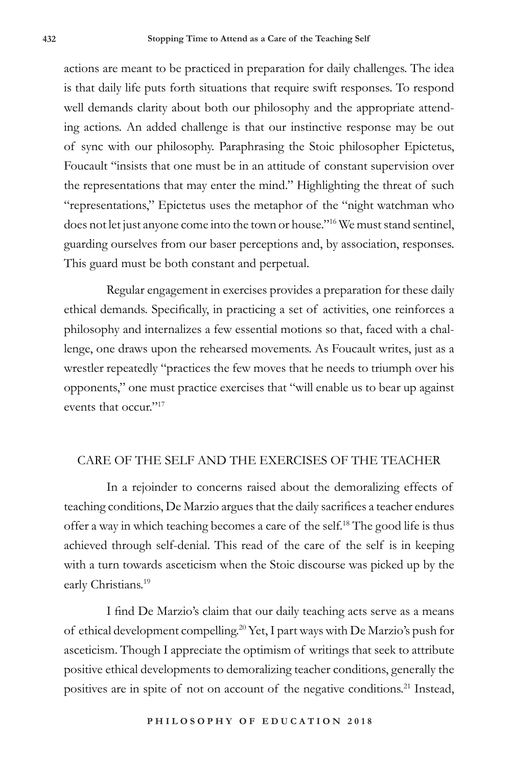actions are meant to be practiced in preparation for daily challenges. The idea is that daily life puts forth situations that require swift responses. To respond well demands clarity about both our philosophy and the appropriate attending actions. An added challenge is that our instinctive response may be out of sync with our philosophy. Paraphrasing the Stoic philosopher Epictetus, Foucault "insists that one must be in an attitude of constant supervision over the representations that may enter the mind." Highlighting the threat of such "representations," Epictetus uses the metaphor of the "night watchman who does not let just anyone come into the town or house."16 We must stand sentinel, guarding ourselves from our baser perceptions and, by association, responses. This guard must be both constant and perpetual.

Regular engagement in exercises provides a preparation for these daily ethical demands. Specifically, in practicing a set of activities, one reinforces a philosophy and internalizes a few essential motions so that, faced with a challenge, one draws upon the rehearsed movements. As Foucault writes, just as a wrestler repeatedly "practices the few moves that he needs to triumph over his opponents," one must practice exercises that "will enable us to bear up against events that occur."<sup>17</sup>

### CARE OF THE SELF AND THE EXERCISES OF THE TEACHER

In a rejoinder to concerns raised about the demoralizing effects of teaching conditions, De Marzio argues that the daily sacrifices a teacher endures offer a way in which teaching becomes a care of the self.18 The good life is thus achieved through self-denial. This read of the care of the self is in keeping with a turn towards asceticism when the Stoic discourse was picked up by the early Christians.<sup>19</sup>

I find De Marzio's claim that our daily teaching acts serve as a means of ethical development compelling.20 Yet, I part ways with De Marzio's push for asceticism. Though I appreciate the optimism of writings that seek to attribute positive ethical developments to demoralizing teacher conditions, generally the positives are in spite of not on account of the negative conditions.<sup>21</sup> Instead,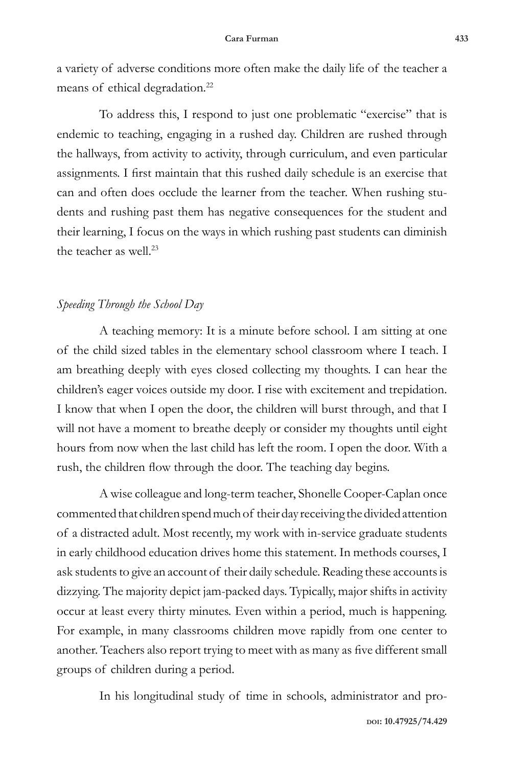a variety of adverse conditions more often make the daily life of the teacher a means of ethical degradation.<sup>22</sup>

To address this, I respond to just one problematic "exercise" that is endemic to teaching, engaging in a rushed day. Children are rushed through the hallways, from activity to activity, through curriculum, and even particular assignments. I first maintain that this rushed daily schedule is an exercise that can and often does occlude the learner from the teacher. When rushing students and rushing past them has negative consequences for the student and their learning, I focus on the ways in which rushing past students can diminish the teacher as well.<sup>23</sup>

### *Speeding Through the School Day*

A teaching memory: It is a minute before school. I am sitting at one of the child sized tables in the elementary school classroom where I teach. I am breathing deeply with eyes closed collecting my thoughts. I can hear the children's eager voices outside my door. I rise with excitement and trepidation. I know that when I open the door, the children will burst through, and that I will not have a moment to breathe deeply or consider my thoughts until eight hours from now when the last child has left the room. I open the door. With a rush, the children flow through the door. The teaching day begins.

A wise colleague and long-term teacher, Shonelle Cooper-Caplan once commented that children spend much of their day receiving the divided attention of a distracted adult. Most recently, my work with in-service graduate students in early childhood education drives home this statement. In methods courses, I ask students to give an account of their daily schedule. Reading these accounts is dizzying. The majority depict jam-packed days. Typically, major shifts in activity occur at least every thirty minutes. Even within a period, much is happening. For example, in many classrooms children move rapidly from one center to another. Teachers also report trying to meet with as many as five different small groups of children during a period.

In his longitudinal study of time in schools, administrator and pro-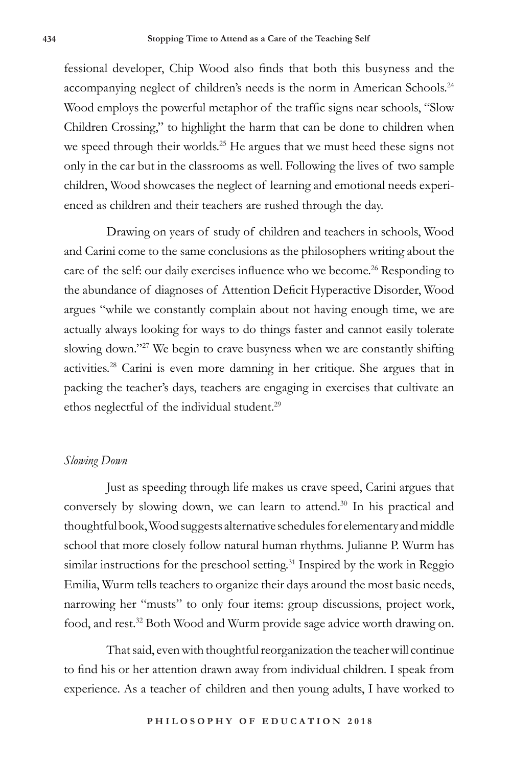fessional developer, Chip Wood also finds that both this busyness and the accompanying neglect of children's needs is the norm in American Schools.<sup>24</sup> Wood employs the powerful metaphor of the traffic signs near schools, "Slow Children Crossing," to highlight the harm that can be done to children when we speed through their worlds.<sup>25</sup> He argues that we must heed these signs not only in the car but in the classrooms as well. Following the lives of two sample children, Wood showcases the neglect of learning and emotional needs experienced as children and their teachers are rushed through the day.

Drawing on years of study of children and teachers in schools, Wood and Carini come to the same conclusions as the philosophers writing about the care of the self: our daily exercises influence who we become.<sup>26</sup> Responding to the abundance of diagnoses of Attention Deficit Hyperactive Disorder, Wood argues "while we constantly complain about not having enough time, we are actually always looking for ways to do things faster and cannot easily tolerate slowing down."27 We begin to crave busyness when we are constantly shifting activities.28 Carini is even more damning in her critique. She argues that in packing the teacher's days, teachers are engaging in exercises that cultivate an ethos neglectful of the individual student.<sup>29</sup>

#### *Slowing Down*

Just as speeding through life makes us crave speed, Carini argues that conversely by slowing down, we can learn to attend.<sup>30</sup> In his practical and thoughtful book, Wood suggests alternative schedules for elementary and middle school that more closely follow natural human rhythms. Julianne P. Wurm has similar instructions for the preschool setting.<sup>31</sup> Inspired by the work in Reggio Emilia, Wurm tells teachers to organize their days around the most basic needs, narrowing her "musts" to only four items: group discussions, project work, food, and rest.<sup>32</sup> Both Wood and Wurm provide sage advice worth drawing on.

That said, even with thoughtful reorganization the teacher will continue to find his or her attention drawn away from individual children. I speak from experience. As a teacher of children and then young adults, I have worked to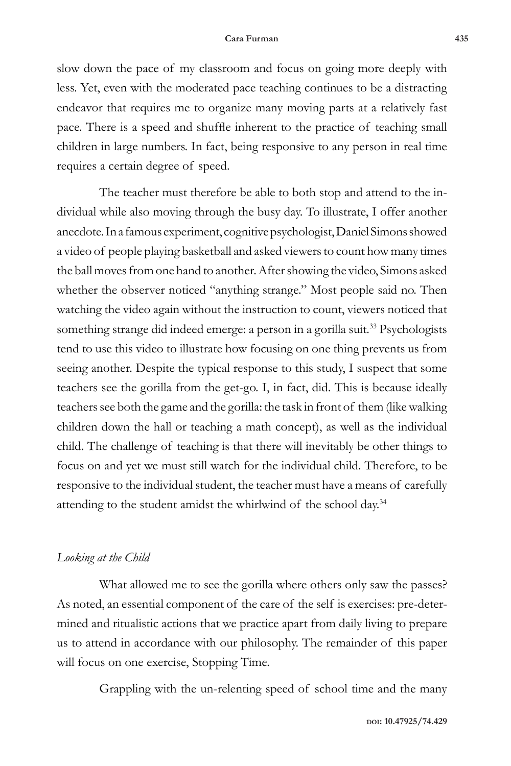slow down the pace of my classroom and focus on going more deeply with less. Yet, even with the moderated pace teaching continues to be a distracting endeavor that requires me to organize many moving parts at a relatively fast pace. There is a speed and shuffle inherent to the practice of teaching small children in large numbers. In fact, being responsive to any person in real time requires a certain degree of speed.

The teacher must therefore be able to both stop and attend to the individual while also moving through the busy day. To illustrate, I offer another anecdote. In a famous experiment, cognitive psychologist, Daniel Simons showed a video of people playing basketball and asked viewers to count how many times the ball moves from one hand to another. After showing the video, Simons asked whether the observer noticed "anything strange." Most people said no. Then watching the video again without the instruction to count, viewers noticed that something strange did indeed emerge: a person in a gorilla suit.<sup>33</sup> Psychologists tend to use this video to illustrate how focusing on one thing prevents us from seeing another. Despite the typical response to this study, I suspect that some teachers see the gorilla from the get-go. I, in fact, did. This is because ideally teachers see both the game and the gorilla: the task in front of them (like walking children down the hall or teaching a math concept), as well as the individual child. The challenge of teaching is that there will inevitably be other things to focus on and yet we must still watch for the individual child. Therefore, to be responsive to the individual student, the teacher must have a means of carefully attending to the student amidst the whirlwind of the school day.<sup>34</sup>

#### *Looking at the Child*

What allowed me to see the gorilla where others only saw the passes? As noted, an essential component of the care of the self is exercises: pre-determined and ritualistic actions that we practice apart from daily living to prepare us to attend in accordance with our philosophy. The remainder of this paper will focus on one exercise, Stopping Time.

Grappling with the un-relenting speed of school time and the many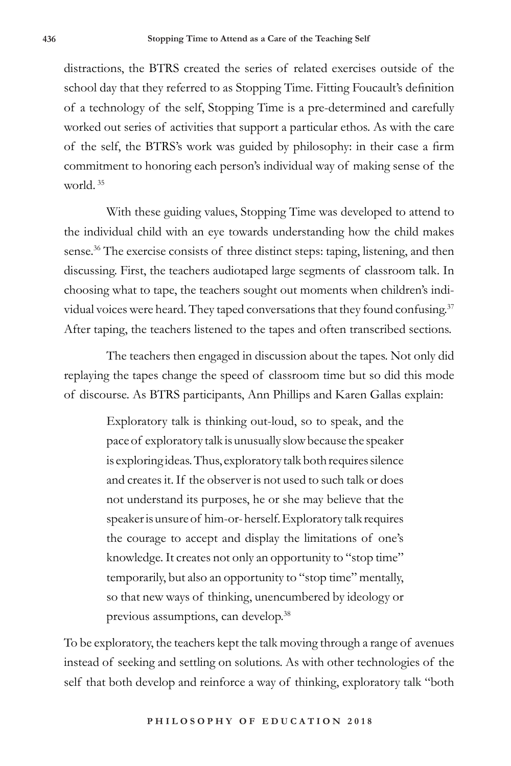distractions, the BTRS created the series of related exercises outside of the school day that they referred to as Stopping Time. Fitting Foucault's definition of a technology of the self, Stopping Time is a pre-determined and carefully worked out series of activities that support a particular ethos. As with the care of the self, the BTRS's work was guided by philosophy: in their case a firm commitment to honoring each person's individual way of making sense of the world. <sup>35</sup>

With these guiding values, Stopping Time was developed to attend to the individual child with an eye towards understanding how the child makes sense.<sup>36</sup> The exercise consists of three distinct steps: taping, listening, and then discussing. First, the teachers audiotaped large segments of classroom talk. In choosing what to tape, the teachers sought out moments when children's individual voices were heard. They taped conversations that they found confusing.<sup>37</sup> After taping, the teachers listened to the tapes and often transcribed sections.

The teachers then engaged in discussion about the tapes. Not only did replaying the tapes change the speed of classroom time but so did this mode of discourse. As BTRS participants, Ann Phillips and Karen Gallas explain:

> Exploratory talk is thinking out-loud, so to speak, and the pace of exploratory talk is unusually slow because the speaker is exploring ideas. Thus, exploratory talk both requires silence and creates it. If the observer is not used to such talk or does not understand its purposes, he or she may believe that the speaker is unsure of him-or- herself. Exploratory talk requires the courage to accept and display the limitations of one's knowledge. It creates not only an opportunity to "stop time" temporarily, but also an opportunity to "stop time" mentally, so that new ways of thinking, unencumbered by ideology or previous assumptions, can develop.38

To be exploratory, the teachers kept the talk moving through a range of avenues instead of seeking and settling on solutions. As with other technologies of the self that both develop and reinforce a way of thinking, exploratory talk "both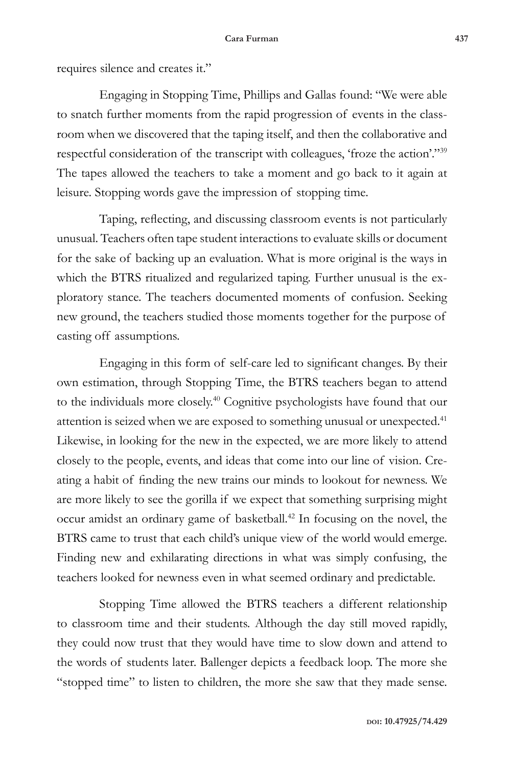#### **Cara Furman 437**

requires silence and creates it."

Engaging in Stopping Time, Phillips and Gallas found: "We were able to snatch further moments from the rapid progression of events in the classroom when we discovered that the taping itself, and then the collaborative and respectful consideration of the transcript with colleagues, 'froze the action'."<sup>39</sup> The tapes allowed the teachers to take a moment and go back to it again at leisure. Stopping words gave the impression of stopping time.

Taping, reflecting, and discussing classroom events is not particularly unusual. Teachers often tape student interactions to evaluate skills or document for the sake of backing up an evaluation. What is more original is the ways in which the BTRS ritualized and regularized taping. Further unusual is the exploratory stance. The teachers documented moments of confusion. Seeking new ground, the teachers studied those moments together for the purpose of casting off assumptions.

Engaging in this form of self-care led to significant changes. By their own estimation, through Stopping Time, the BTRS teachers began to attend to the individuals more closely.40 Cognitive psychologists have found that our attention is seized when we are exposed to something unusual or unexpected.<sup>41</sup> Likewise, in looking for the new in the expected, we are more likely to attend closely to the people, events, and ideas that come into our line of vision. Creating a habit of finding the new trains our minds to lookout for newness. We are more likely to see the gorilla if we expect that something surprising might occur amidst an ordinary game of basketball.42 In focusing on the novel, the BTRS came to trust that each child's unique view of the world would emerge. Finding new and exhilarating directions in what was simply confusing, the teachers looked for newness even in what seemed ordinary and predictable.

Stopping Time allowed the BTRS teachers a different relationship to classroom time and their students. Although the day still moved rapidly, they could now trust that they would have time to slow down and attend to the words of students later. Ballenger depicts a feedback loop. The more she "stopped time" to listen to children, the more she saw that they made sense.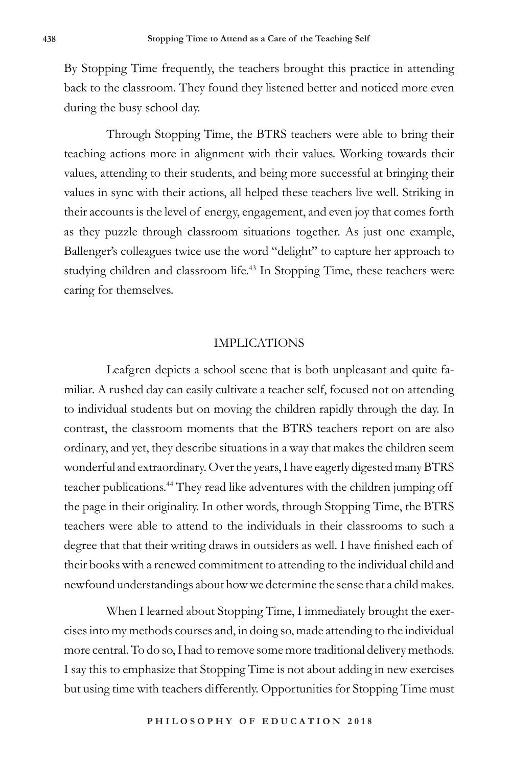By Stopping Time frequently, the teachers brought this practice in attending back to the classroom. They found they listened better and noticed more even during the busy school day.

Through Stopping Time, the BTRS teachers were able to bring their teaching actions more in alignment with their values. Working towards their values, attending to their students, and being more successful at bringing their values in sync with their actions, all helped these teachers live well. Striking in their accounts is the level of energy, engagement, and even joy that comes forth as they puzzle through classroom situations together. As just one example, Ballenger's colleagues twice use the word "delight" to capture her approach to studying children and classroom life.<sup>43</sup> In Stopping Time, these teachers were caring for themselves.

#### IMPLICATIONS

Leafgren depicts a school scene that is both unpleasant and quite familiar. A rushed day can easily cultivate a teacher self, focused not on attending to individual students but on moving the children rapidly through the day. In contrast, the classroom moments that the BTRS teachers report on are also ordinary, and yet, they describe situations in a way that makes the children seem wonderful and extraordinary. Over the years, I have eagerly digested many BTRS teacher publications.<sup>44</sup> They read like adventures with the children jumping off the page in their originality. In other words, through Stopping Time, the BTRS teachers were able to attend to the individuals in their classrooms to such a degree that that their writing draws in outsiders as well. I have finished each of their books with a renewed commitment to attending to the individual child and newfound understandings about how we determine the sense that a child makes.

When I learned about Stopping Time, I immediately brought the exercises into my methods courses and, in doing so, made attending to the individual more central. To do so, I had to remove some more traditional delivery methods. I say this to emphasize that Stopping Time is not about adding in new exercises but using time with teachers differently. Opportunities for Stopping Time must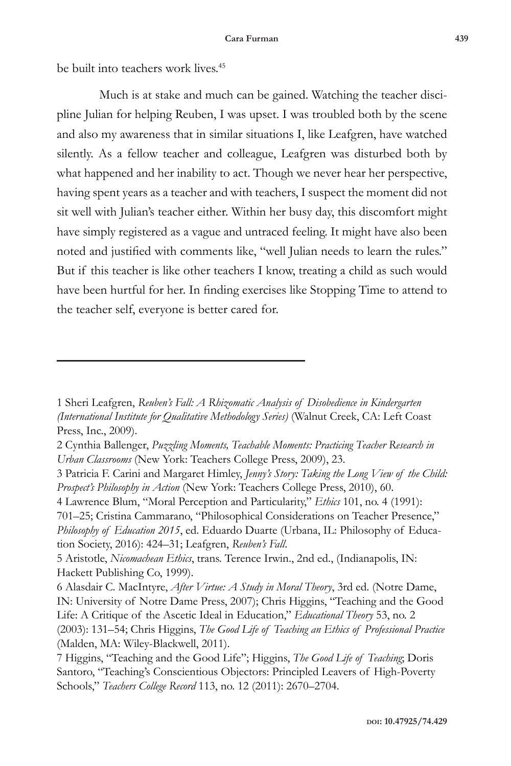be built into teachers work lives.<sup>45</sup>

Much is at stake and much can be gained. Watching the teacher discipline Julian for helping Reuben, I was upset. I was troubled both by the scene and also my awareness that in similar situations I, like Leafgren, have watched silently. As a fellow teacher and colleague, Leafgren was disturbed both by what happened and her inability to act. Though we never hear her perspective, having spent years as a teacher and with teachers, I suspect the moment did not sit well with Julian's teacher either. Within her busy day, this discomfort might have simply registered as a vague and untraced feeling. It might have also been noted and justified with comments like, "well Julian needs to learn the rules." But if this teacher is like other teachers I know, treating a child as such would have been hurtful for her. In finding exercises like Stopping Time to attend to the teacher self, everyone is better cared for.

<sup>1</sup> Sheri Leafgren, *Reuben's Fall: A Rhizomatic Analysis of Disobedience in Kindergarten (International Institute for Qualitative Methodology Series)* (Walnut Creek, CA: Left Coast Press, Inc., 2009).

<sup>2</sup> Cynthia Ballenger, *Puzzling Moments, Teachable Moments: Practicing Teacher Research in Urban Classrooms* (New York: Teachers College Press, 2009), 23.

<sup>3</sup> Patricia F. Carini and Margaret Himley, *Jenny's Story: Taking the Long View of the Child: Prospect's Philosophy in Action* (New York: Teachers College Press, 2010), 60.

<sup>4</sup> Lawrence Blum, "Moral Perception and Particularity," *Ethics* 101, no. 4 (1991): 701–25; Cristina Cammarano, "Philosophical Considerations on Teacher Presence," *Philosophy of Education 2015*, ed. Eduardo Duarte (Urbana, IL: Philosophy of Education Society, 2016): 424–31; Leafgren, *Reuben's Fall*.

<sup>5</sup> Aristotle, *Nicomachean Ethics*, trans. Terence Irwin., 2nd ed., (Indianapolis, IN: Hackett Publishing Co, 1999).

<sup>6</sup> Alasdair C. MacIntyre, *After Virtue: A Study in Moral Theory*, 3rd ed. (Notre Dame, IN: University of Notre Dame Press, 2007); Chris Higgins, "Teaching and the Good Life: A Critique of the Ascetic Ideal in Education," *Educational Theory* 53, no. 2 (2003): 131–54; Chris Higgins, *The Good Life of Teaching an Ethics of Professional Practice* (Malden, MA: Wiley-Blackwell, 2011).

<sup>7</sup> Higgins, "Teaching and the Good Life"; Higgins, *The Good Life of Teaching*; Doris Santoro, "Teaching's Conscientious Objectors: Principled Leavers of High-Poverty Schools," *Teachers College Record* 113, no. 12 (2011): 2670–2704.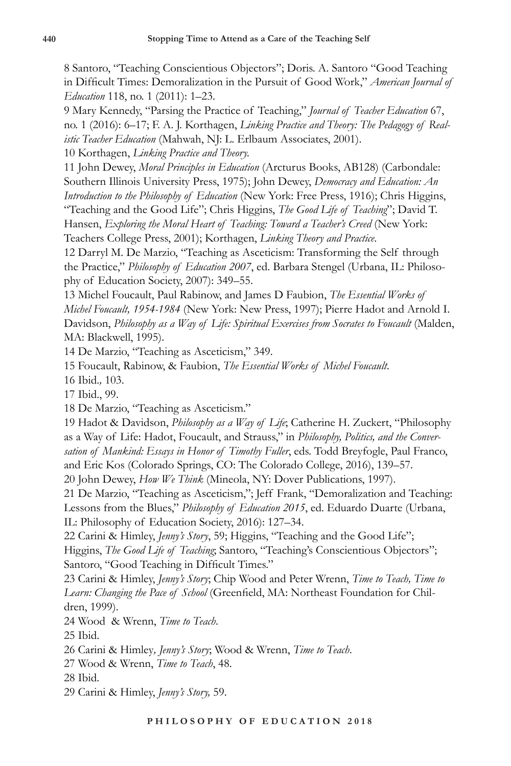8 Santoro, "Teaching Conscientious Objectors"; Doris. A. Santoro "Good Teaching in Difficult Times: Demoralization in the Pursuit of Good Work," *American Journal of Education* 118, no. 1 (2011): 1–23.

9 Mary Kennedy, "Parsing the Practice of Teaching," *Journal of Teacher Education* 67, no. 1 (2016): 6–17; F. A. J. Korthagen, *Linking Practice and Theory: The Pedagogy of Realistic Teacher Education* (Mahwah, NJ: L. Erlbaum Associates, 2001).

10 Korthagen, *Linking Practice and Theory.*

11 John Dewey, *Moral Principles in Education* (Arcturus Books, AB128) (Carbondale: Southern Illinois University Press, 1975); John Dewey, *Democracy and Education: An Introduction to the Philosophy of Education* (New York: Free Press, 1916); Chris Higgins, "Teaching and the Good Life"; Chris Higgins, *The Good Life of Teaching*"; David T. Hansen, *Exploring the Moral Heart of Teaching: Toward a Teacher's Creed* (New York:

Teachers College Press, 2001); Korthagen, *Linking Theory and Practice*.

12 Darryl M. De Marzio, "Teaching as Asceticism: Transforming the Self through the Practice," *Philosophy of Education 2007*, ed. Barbara Stengel (Urbana, IL: Philosophy of Education Society, 2007): 349–55.

13 Michel Foucault, Paul Rabinow, and James D Faubion, *The Essential Works of Michel Foucault, 1954-1984* (New York: New Press, 1997); Pierre Hadot and Arnold I. Davidson, *Philosophy as a Way of Life: Spiritual Exercises from Socrates to Foucault* (Malden, MA: Blackwell, 1995).

14 De Marzio, "Teaching as Asceticism," 349.

15 Foucault, Rabinow, & Faubion, *The Essential Works of Michel Foucault*.

16 Ibid.*,* 103.

17 Ibid., 99.

18 De Marzio, "Teaching as Asceticism."

19 Hadot & Davidson, *Philosophy as a Way of Life*; Catherine H. Zuckert, "Philosophy as a Way of Life: Hadot, Foucault, and Strauss," in *Philosophy, Politics, and the Conversation of Mankind: Essays in Honor of Timothy Fuller*, eds. Todd Breyfogle, Paul Franco, and Eric Kos (Colorado Springs, CO: The Colorado College, 2016), 139–57.

20 John Dewey, *How We Think* (Mineola, NY: Dover Publications, 1997).

21 De Marzio, "Teaching as Asceticism,"; Jeff Frank, "Demoralization and Teaching: Lessons from the Blues," *Philosophy of Education 2015*, ed. Eduardo Duarte (Urbana, IL: Philosophy of Education Society, 2016): 127–34.

22 Carini & Himley, *Jenny's Story*, 59; Higgins, "Teaching and the Good Life"; Higgins, *The Good Life of Teaching*; Santoro, "Teaching's Conscientious Objectors"; Santoro, "Good Teaching in Difficult Times."

23 Carini & Himley, *Jenny's Story*; Chip Wood and Peter Wrenn, *Time to Teach, Time to Learn: Changing the Pace of School* (Greenfield, MA: Northeast Foundation for Children, 1999).

24 Wood & Wrenn, *Time to Teach*.

25 Ibid.

26 Carini & Himley*, Jenny's Story*; Wood & Wrenn, *Time to Teach*.

27 Wood & Wrenn, *Time to Teach*, 48.

28 Ibid.

29 Carini & Himley, *Jenny's Story,* 59.